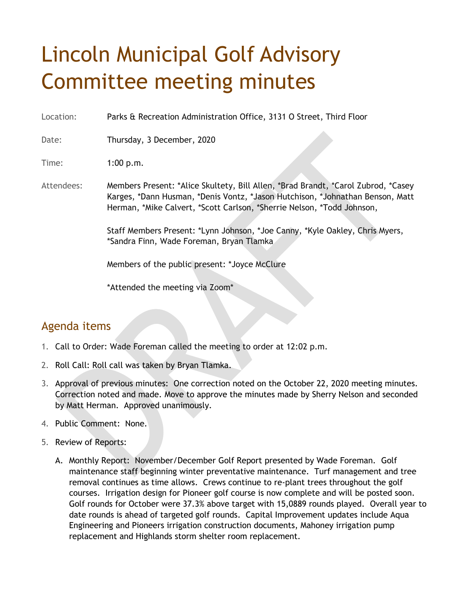## Lincoln Municipal Golf Advisory Committee meeting minutes

Location: Parks & Recreation Administration Office, 3131 O Street, Third Floor

Date: Thursday, 3 December, 2020

Time: 1:00 p.m.

Attendees: Members Present: \*Alice Skultety, Bill Allen, \*Brad Brandt, \*Carol Zubrod, \*Casey Karges, \*Dann Husman, \*Denis Vontz, \*Jason Hutchison, \*Johnathan Benson, Matt Herman, \*Mike Calvert, \*Scott Carlson, \*Sherrie Nelson, \*Todd Johnson,

> Staff Members Present: \*Lynn Johnson, \*Joe Canny, \*Kyle Oakley, Chris Myers, \*Sandra Finn, Wade Foreman, Bryan Tlamka

Members of the public present: \*Joyce McClure

\*Attended the meeting via Zoom\*

## Agenda items

- 1. Call to Order: Wade Foreman called the meeting to order at 12:02 p.m.
- 2. Roll Call: Roll call was taken by Bryan Tlamka.
- 3. Approval of previous minutes: One correction noted on the October 22, 2020 meeting minutes. Correction noted and made. Move to approve the minutes made by Sherry Nelson and seconded by Matt Herman. Approved unanimously.
- 4. Public Comment: None.
- 5. Review of Reports:
	- A. Monthly Report: November/December Golf Report presented by Wade Foreman. Golf maintenance staff beginning winter preventative maintenance. Turf management and tree removal continues as time allows. Crews continue to re-plant trees throughout the golf courses. Irrigation design for Pioneer golf course is now complete and will be posted soon. Golf rounds for October were 37.3% above target with 15,0889 rounds played. Overall year to date rounds is ahead of targeted golf rounds. Capital Improvement updates include Aqua Engineering and Pioneers irrigation construction documents, Mahoney irrigation pump replacement and Highlands storm shelter room replacement.